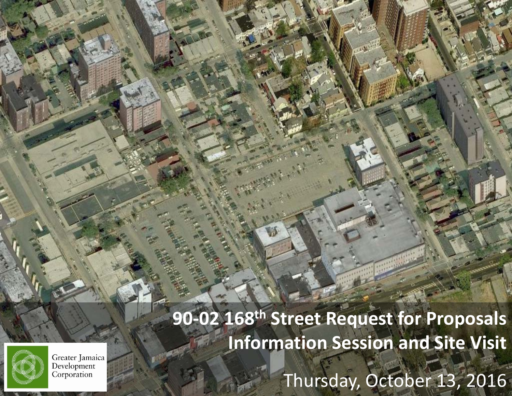

*90‐02*



Greater Jamaica Development Corporation

*168th Street Request for Proposals Information Session* <sup>∙</sup>*Thursday, October 13, <sup>2016</sup>* Thursday, October 13, 2016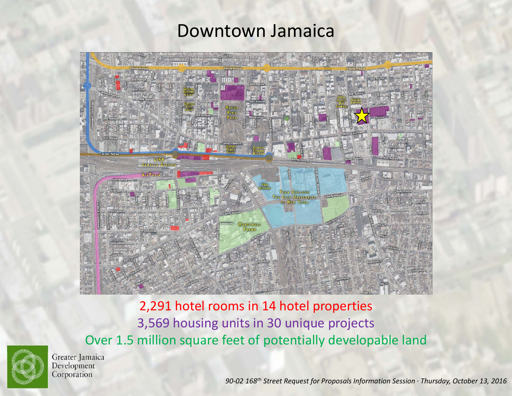#### Downtown Jamaica



2,291 hotel rooms in 14 hotel properties 3,569 housing units in 30 unique projects Over 1.5 million square feet of potentially developable land



Greater Jamaica Development Corporation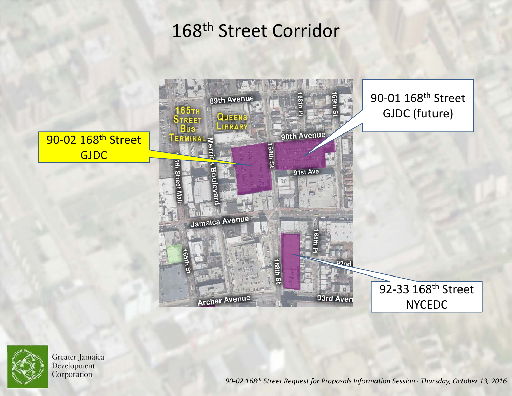### 168th Street Corridor





Greater Jamaica Development Corporation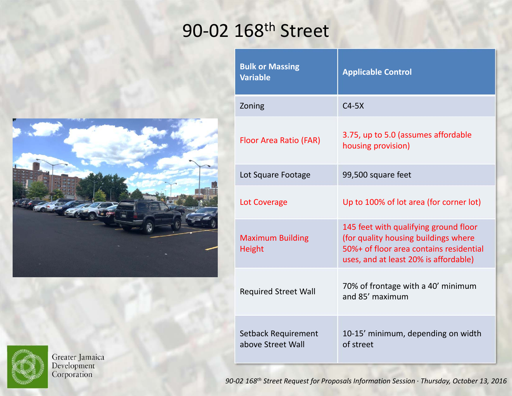## 90-02 168<sup>th</sup> Street





Greater Jamaica<br>Development<br>Corporation

| <b>Bulk or Massing</b><br><b>Variable</b> | <b>Applicable Control</b>                                                                                                                                         |
|-------------------------------------------|-------------------------------------------------------------------------------------------------------------------------------------------------------------------|
| Zoning                                    | $C4-5X$                                                                                                                                                           |
| Floor Area Ratio (FAR)                    | 3.75, up to 5.0 (assumes affordable<br>housing provision)                                                                                                         |
| Lot Square Footage                        | 99,500 square feet                                                                                                                                                |
| Lot Coverage                              | Up to 100% of lot area (for corner lot)                                                                                                                           |
| <b>Maximum Building</b><br><b>Height</b>  | 145 feet with qualifying ground floor<br>(for quality housing buildings where<br>50%+ of floor area contains residential<br>uses, and at least 20% is affordable) |
| <b>Required Street Wall</b>               | 70% of frontage with a 40' minimum<br>and 85' maximum                                                                                                             |
| Setback Requirement<br>above Street Wall  | 10-15' minimum, depending on width<br>of street                                                                                                                   |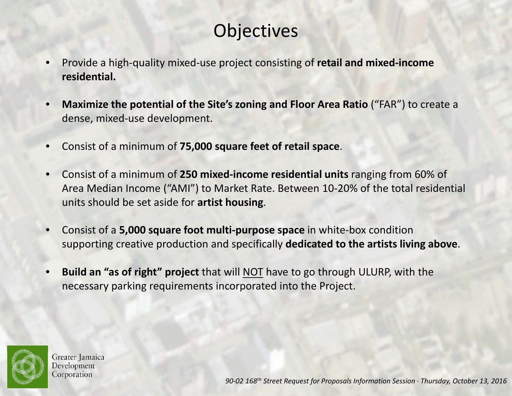## **Objectives**

- • Provide <sup>a</sup> high‐quality mixed‐use project consisting of **retail and mixed‐income residential.**
- • **Maximize the potential of the Site's zoning and Floor Area Ratio** ("FAR") to create <sup>a</sup> dense, mixed‐use development.
- •Consist of <sup>a</sup> minimum of **75,000 square feet of retail space**.
- • Consist of <sup>a</sup> minimum of **250 mixed‐income residential units** ranging from 60% of Area Median Income ("AMI") to Market Rate. Between 10‐20% of the total residential units should be set aside for **artist housing**.
- • Consist of <sup>a</sup> **5,000 square foot multi‐purpose space** in white‐box condition supporting creative production and specifically **dedicated to the artists living above**.
- • **Build an "as of right" project** that will NOT have to go through ULURP, with the necessary parking requirements incorporated into the Project.



Greater Jamaica Development Corporation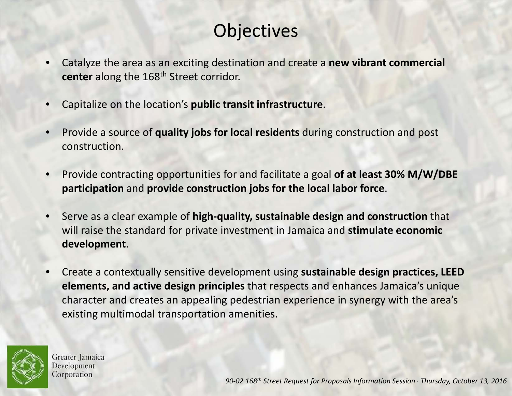## **Objectives**

- • Catalyze the area as an exciting destination and create <sup>a</sup> **new vibrant commercial center** along the 168th Street corridor.
- •Capitalize on the location's **public transit infrastructure**.
- • Provide <sup>a</sup> source of **quality jobs for local residents** during construction and post construction.
- • Provide contracting opportunities for and facilitate <sup>a</sup> goal **of at least 30% M/W/DBE participation** and **provide construction jobs for the local labor force**.
- • Serve as <sup>a</sup> clear example of **high‐quality, sustainable design and construction** that will raise the standard for private investment in Jamaica and **stimulate economic development**.
- • Create <sup>a</sup> contextually sensitive development using **sustainable design practices, LEED elements, and active design principles** that respects and enhances Jamaica's unique character and creates an appealing pedestrian experience in synergy with the area's existing multimodal transportation amenities.



Greater Jamaica Development Corporation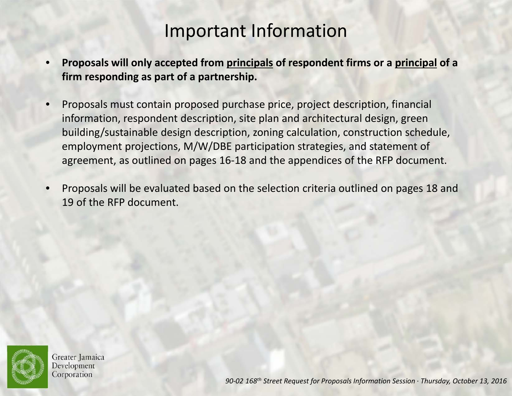#### Important Information

- • **Proposals will only accepted from principals of respondent firms or <sup>a</sup> principal of <sup>a</sup> firm responding as part of <sup>a</sup> partnership.**
- • Proposals must contain proposed purchase price, project description, financial information, respondent description, site plan and architectural design, green building/sustainable design description, zoning calculation, construction schedule, employment projections, M/W/DBE participation strategies, and statement of agreement, as outlined on pages 16‐18 and the appendices of the RFP document.
- • Proposals will be evaluated based on the selection criteria outlined on pages 18 and 19 of the RFP document.



Greater Jamaica Development Corporation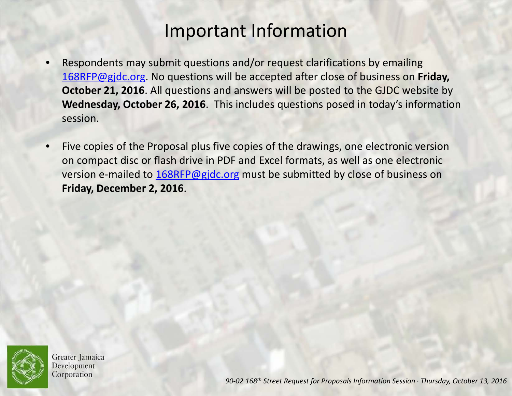#### Important Information

- • Respondents may submit questions and/or request clarifications by emailing 168RFP@gjdc.org. No questions will be accepted after close of business on **Friday, October 21, 2016**. All questions and answers will be posted to the GJDC website by **Wednesday, October 26, 2016**. This includes questions posed in today's information session.
- • Five copies of the Proposal plus five copies of the drawings, one electronic version on compact disc or flash drive in PDF and Excel formats, as well as one electronic version e-mailed to <u>168RFP@gjdc.org</u> must be submitted by close of business on **Friday, December 2, 2016**.



Greater Jamaica Development Corporation